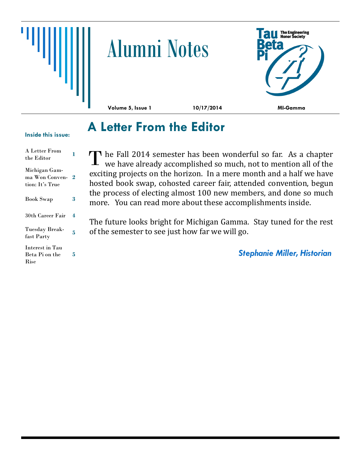

# Alumni Notes



**Volume 5, Issue 1 10/17/2014 MI-Gamma**

## **A Letter From the Editor**

#### **Inside this issue:**

| A Letter From<br>the Editor                             |   |
|---------------------------------------------------------|---|
| Michigan Gam-<br>ma Won Conven-<br>tion: It's True      | 2 |
| <b>Book Swap</b>                                        | 3 |
| 30th Career Fair                                        | 4 |
| Tuesday Break-<br>fast Party                            | 5 |
| <b>Interest in Tau</b><br>Beta Pi on the<br><b>Rise</b> | 5 |

**The Fall 2014 semester has been wonderful so far.** As a chapter The Fall 2014 semester has been wonderful so far. As a chapter we have already accomplished so much, not to mention all of the exciting projects on the horizon. In a mere month and a half we have hosted book swap, cohosted career fair, attended convention, begun the process of electing almost 100 new members, and done so much more. You can read more about these accomplishments inside.

The future looks bright for Michigan Gamma. Stay tuned for the rest of the semester to see just how far we will go.

*Stephanie Miller, Historian*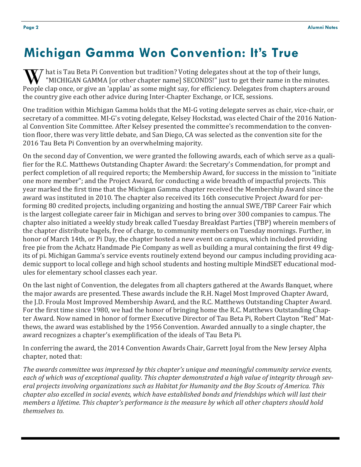## **Michigan Gamma Won Convention: It's True**

hat is Tau Beta Pi Convention but tradition? Voting delegates shout at the top of their lungs, "MICHIGAN GAMMA [or other chapter name] SECONDS!" just to get their name in the minutes. W "MICHIGAN GAMMA [or other chapter name] SECONDS!" just to get their name in the minutes.<br>People clap once, or give an 'applau' as some might say, for efficiency. Delegates from chapters around the country give each other advice during Inter-Chapter Exchange, or ICE, sessions.

One tradition within Michigan Gamma holds that the MI-G voting delegate serves as chair, vice-chair, or secretary of a committee. MI-G's voting delegate, Kelsey Hockstad, was elected Chair of the 2016 National Convention Site Committee. After Kelsey presented the committee's recommendation to the convention floor, there was very little debate, and San Diego, CA was selected as the convention site for the 2016 Tau Beta Pi Convention by an overwhelming majority.

On the second day of Convention, we were granted the following awards, each of which serve as a qualifier for the R.C. Matthews Outstanding Chapter Award: the Secretary's Commendation, for prompt and perfect completion of all required reports; the Membership Award, for success in the mission to "initiate one more member"; and the Project Award, for conducting a wide breadth of impactful projects. This year marked the first time that the Michigan Gamma chapter received the Membership Award since the award was instituted in 2010. The chapter also received its 16th consecutive Project Award for performing 80 credited projects, including organizing and hosting the annual SWE/TBP Career Fair which is the largest collegiate career fair in Michigan and serves to bring over 300 companies to campus. The chapter also initiated a weekly study break called Tuesday Breakfast Parties (TBP) wherein members of the chapter distribute bagels, free of charge, to community members on Tuesday mornings. Further, in honor of March 14th, or Pi Day, the chapter hosted a new event on campus, which included providing free pie from the Achatz Handmade Pie Company as well as building a mural containing the first 49 digits of pi. Michigan Gamma's service events routinely extend beyond our campus including providing academic support to local college and high school students and hosting multiple MindSET educational modules for elementary school classes each year.

On the last night of Convention, the delegates from all chapters gathered at the Awards Banquet, where the major awards are presented. These awards include the R.H. Nagel Most Improved Chapter Award, the J.D. Froula Most Improved Membership Award, and the R.C. Matthews Outstanding Chapter Award. For the first time since 1980, we had the honor of bringing home the R.C. Matthews Outstanding Chapter Award. Now named in honor of former Executive Director of Tau Beta Pi, Robert Clayton "Red" Matthews, the award was established by the 1956 Convention. Awarded annually to a single chapter, the award recognizes a chapter's exemplification of the ideals of Tau Beta Pi.

In conferring the award, the 2014 Convention Awards Chair, Garrett Joyal from the New Jersey Alpha chapter, noted that:

*The awards committee was impressed by this chapter's unique and meaningful community service events, each of which was of exceptional quality. This chapter demonstrated a high value of integrity through several projects involving organizations such as Habitat for Humanity and the Boy Scouts of America. This chapter also excelled in social events, which have established bonds and friendships which will last their members a lifetime. This chapter's performance is the measure by which all other chapters should hold themselves to.*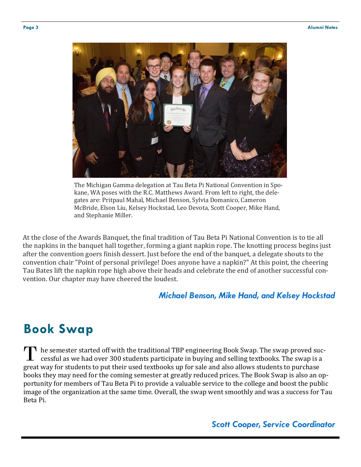

The Michigan Gamma delegation at Tau Beta Pi National Convention in Spokane, WA poses with the R.C. Matthews Award. From left to right, the delegates are: Pritpaul Mahal, Michael Benson, Sylvia Domanico, Cameron McBride, Elson Liu, Kelsey Hockstad, Leo Devota, Scott Cooper, Mike Hand, and Stephanie Miller.

At the close of the Awards Banquet, the final tradition of Tau Beta Pi National Convention is to tie all the napkins in the banquet hall together, forming a giant napkin rope. The knotting process begins just after the convention goers finish dessert. Just before the end of the banquet, a delegate shouts to the convention chair "Point of personal privilege! Does anyone have a napkin?" At this point, the cheering Tau Bates lift the napkin rope high above their heads and celebrate the end of another successful convention. Our chapter may have cheered the loudest.

#### *Michael Benson, Mike Hand, and Kelsey Hockstad*

#### **Book Swap**

**T** he semester started off with the traditional TBP engineering Book Swap. The swap proved successful as we had over 300 students participate in buying and selling textbooks. The swap is a great way for students to put their used textbooks up for sale and also allows students to purchase books they may need for the coming semester at greatly reduced prices. The Book Swap is also an opportunity for members of Tau Beta Pi to provide a valuable service to the college and boost the public image of the organization at the same time. Overall, the swap went smoothly and was a success for Tau Beta Pi. **T**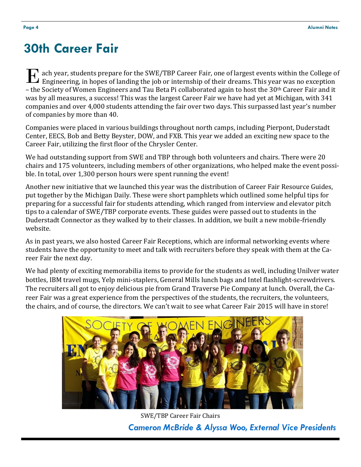### **30th Career Fair**

Engineering, in hopes of landing the job or internship of their dreams. This year was no exception **Engineering, in hopes of landing the job or internship of their dreams. This year was no exception** – the Society of Women Engineers and Tau Beta Pi collaborated again to host the 30th Career Fair and it was by all measures, a success! This was the largest Career Fair we have had yet at Michigan, with 341 companies and over 4,000 students attending the fair over two days. This surpassed last year's number of companies by more than 40.

Companies were placed in various buildings throughout north camps, including Pierpont, Duderstadt Center, EECS, Bob and Betty Beyster, DOW, and FXB. This year we added an exciting new space to the Career Fair, utilizing the first floor of the Chrysler Center.

We had outstanding support from SWE and TBP through both volunteers and chairs. There were 20 chairs and 175 volunteers, including members of other organizations, who helped make the event possible. In total, over 1,300 person hours were spent running the event!

Another new initiative that we launched this year was the distribution of Career Fair Resource Guides, put together by the Michigan Daily. These were short pamphlets which outlined some helpful tips for preparing for a successful fair for students attending, which ranged from interview and elevator pitch tips to a calendar of SWE/TBP corporate events. These guides were passed out to students in the Duderstadt Connector as they walked by to their classes. In addition, we built a new mobile-friendly website.

As in past years, we also hosted Career Fair Receptions, which are informal networking events where students have the opportunity to meet and talk with recruiters before they speak with them at the Career Fair the next day.

We had plenty of exciting memorabilia items to provide for the students as well, including Unilver water bottles, IBM travel mugs, Yelp mini-staplers, General Mills lunch bags and Intel flashlight-screwdrivers. The recruiters all got to enjoy delicious pie from Grand Traverse Pie Company at lunch. Overall, the Career Fair was a great experience from the perspectives of the students, the recruiters, the volunteers, the chairs, and of course, the directors. We can't wait to see what Career Fair 2015 will have in store!



*Cameron McBride & Alyssa Woo, External Vice Presidents* SWE/TBP Career Fair Chairs